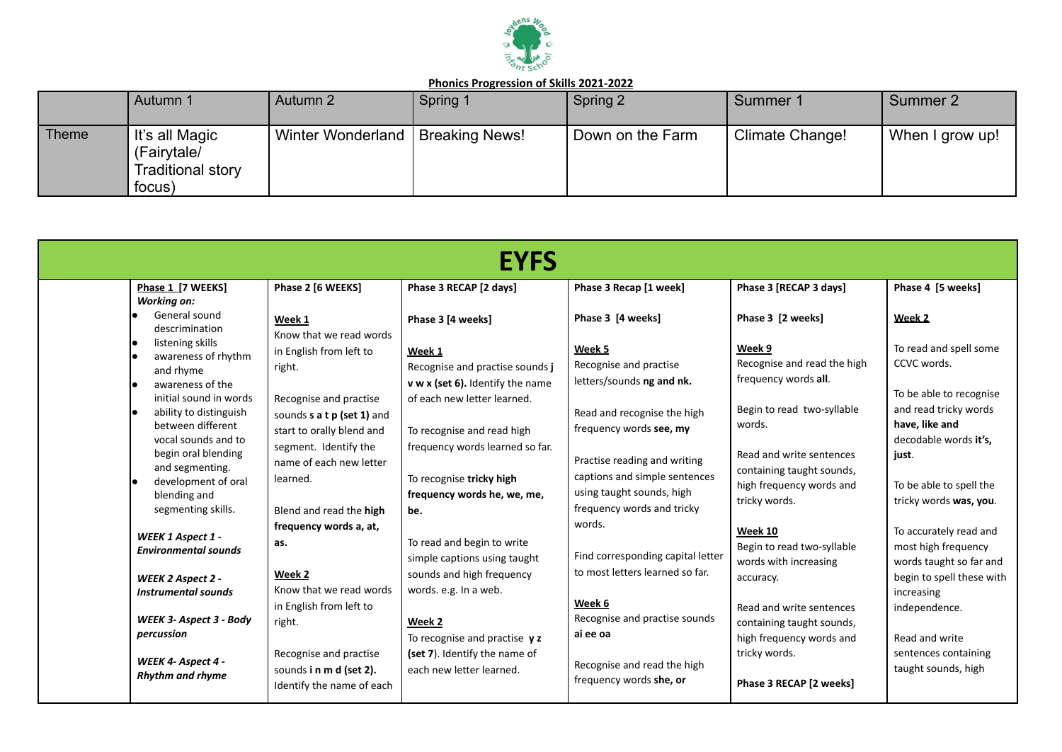

|       | Autumn 1                                                     | Autumn 2                           | Spring 1 | Spring 2         | Summer 1        | Summer 2        |
|-------|--------------------------------------------------------------|------------------------------------|----------|------------------|-----------------|-----------------|
| Theme | It's all Magic<br>(Fairytale/<br>Traditional story<br>focus) | Winter Wonderland   Breaking News! |          | Down on the Farm | Climate Change! | When I grow up! |

|                                                                                                                                                                                                                                                                              |                                                                                                                                                                                                                                    | <b>EYFS</b>                                                                                                                                                                                                                    |                                                                                                                                                                                                                                            |                                                                                                                                                                                                                 |                                                                                                                                                                                    |
|------------------------------------------------------------------------------------------------------------------------------------------------------------------------------------------------------------------------------------------------------------------------------|------------------------------------------------------------------------------------------------------------------------------------------------------------------------------------------------------------------------------------|--------------------------------------------------------------------------------------------------------------------------------------------------------------------------------------------------------------------------------|--------------------------------------------------------------------------------------------------------------------------------------------------------------------------------------------------------------------------------------------|-----------------------------------------------------------------------------------------------------------------------------------------------------------------------------------------------------------------|------------------------------------------------------------------------------------------------------------------------------------------------------------------------------------|
| Phase 1 [7 WEEKS]<br><b>Working on:</b>                                                                                                                                                                                                                                      | Phase 2 [6 WEEKS]                                                                                                                                                                                                                  | Phase 3 RECAP [2 days]                                                                                                                                                                                                         | Phase 3 Recap [1 week]                                                                                                                                                                                                                     | Phase 3 [RECAP 3 days]                                                                                                                                                                                          | Phase 4 [5 weeks]                                                                                                                                                                  |
| General sound<br>descrimination<br>listening skills<br>awareness of rhythm<br>and rhyme<br>awareness of the<br>initial sound in words<br>ability to distinguish<br>between different<br>vocal sounds and to<br>begin oral blending<br>and segmenting.<br>development of oral | Week 1<br>Know that we read words<br>in English from left to<br>right.<br>Recognise and practise<br>sounds <b>s a t p (set 1)</b> and<br>start to orally blend and<br>segment. Identify the<br>name of each new letter<br>learned. | Phase 3 [4 weeks]<br>Week 1<br>Recognise and practise sounds j<br>v w x (set 6). Identify the name<br>of each new letter learned.<br>To recognise and read high<br>frequency words learned so far.<br>To recognise tricky high | Phase 3 [4 weeks]<br>Week 5<br>Recognise and practise<br>letters/sounds ng and nk.<br>Read and recognise the high<br>frequency words see, my<br>Practise reading and writing<br>captions and simple sentences<br>using taught sounds, high | Phase 3 [2 weeks]<br>Week 9<br>Recognise and read the high<br>frequency words all.<br>Begin to read two-syllable<br>words.<br>Read and write sentences<br>containing taught sounds,<br>high frequency words and | Week 2<br>To read and spell some<br>CCVC words.<br>To be able to recognise<br>and read tricky words<br>have, like and<br>decodable words it's,<br>just.<br>To be able to spell the |
| blending and<br>segmenting skills.                                                                                                                                                                                                                                           | Blend and read the high                                                                                                                                                                                                            | frequency words he, we, me,<br>be.                                                                                                                                                                                             | frequency words and tricky                                                                                                                                                                                                                 | tricky words.                                                                                                                                                                                                   | tricky words was, you.                                                                                                                                                             |
| WEEK 1 Aspect 1 -<br><b>Environmental sounds</b><br>WEEK 2 Aspect 2 -<br><b>Instrumental sounds</b>                                                                                                                                                                          | frequency words a, at,<br>as.<br>Week 2<br>Know that we read words<br>in English from left to                                                                                                                                      | To read and begin to write<br>simple captions using taught<br>sounds and high frequency<br>words. e.g. In a web.                                                                                                               | words.<br>Find corresponding capital letter<br>to most letters learned so far.<br>Week 6                                                                                                                                                   | Week 10<br>Begin to read two-syllable<br>words with increasing<br>accuracy.<br>Read and write sentences                                                                                                         | To accurately read and<br>most high frequency<br>words taught so far and<br>begin to spell these with<br>increasing<br>independence.                                               |
| WEEK 3- Aspect 3 - Body<br>percussion<br>WEEK 4- Aspect 4 -<br>Rhythm and rhyme                                                                                                                                                                                              | right.<br>Recognise and practise<br>sounds in m d (set 2).<br>Identify the name of each                                                                                                                                            | Week 2<br>To recognise and practise $y z$<br>(set 7). Identify the name of<br>each new letter learned.                                                                                                                         | Recognise and practise sounds<br>ai ee oa<br>Recognise and read the high<br>frequency words she, or                                                                                                                                        | containing taught sounds,<br>high frequency words and<br>tricky words.<br>Phase 3 RECAP [2 weeks]                                                                                                               | Read and write<br>sentences containing<br>taught sounds, high                                                                                                                      |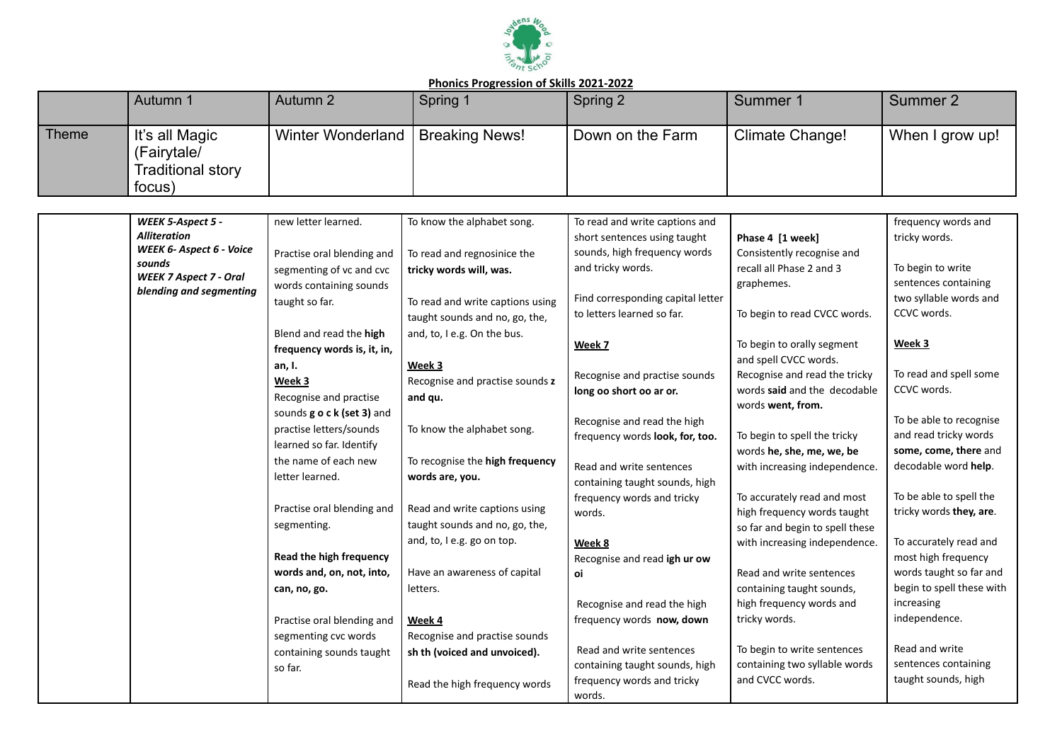

|       | Autumn 1                                                     | Autumn 2          | Spring 1       | Spring 2         | Summer 1        | Summer 2        |  |  |
|-------|--------------------------------------------------------------|-------------------|----------------|------------------|-----------------|-----------------|--|--|
| Theme | It's all Magic<br>(Fairytale/<br>Traditional story<br>focus) | Winter Wonderland | Breaking News! | Down on the Farm | Climate Change! | When I grow up! |  |  |

| WEEK 5-Aspect 5 -                                        | new letter learned.         | To know the alphabet song.       | To read and write captions and                                 |                                 | frequency words and       |
|----------------------------------------------------------|-----------------------------|----------------------------------|----------------------------------------------------------------|---------------------------------|---------------------------|
| <b>Alliteration</b>                                      |                             |                                  | short sentences using taught                                   | Phase 4 [1 week]                | tricky words.             |
| WEEK 6- Aspect 6 - Voice                                 | Practise oral blending and  | To read and regnosinice the      | sounds, high frequency words                                   | Consistently recognise and      |                           |
| sounds                                                   | segmenting of vc and cvc    | tricky words will, was.          | and tricky words.                                              | recall all Phase 2 and 3        | To begin to write         |
| <b>WEEK 7 Aspect 7 - Oral</b><br>blending and segmenting | words containing sounds     |                                  |                                                                | graphemes.                      | sentences containing      |
|                                                          | taught so far.              | To read and write captions using | Find corresponding capital letter                              |                                 | two syllable words and    |
|                                                          |                             | taught sounds and no, go, the,   | to letters learned so far.                                     | To begin to read CVCC words.    | CCVC words.               |
|                                                          | Blend and read the high     | and, to, I e.g. On the bus.      |                                                                |                                 |                           |
|                                                          | frequency words is, it, in, |                                  | Week 7                                                         | To begin to orally segment      | Week 3                    |
|                                                          | an, I.                      | Week 3                           |                                                                | and spell CVCC words.           |                           |
|                                                          | Week 3                      | Recognise and practise sounds z  | Recognise and practise sounds                                  | Recognise and read the tricky   | To read and spell some    |
|                                                          | Recognise and practise      | and qu.                          | long oo short oo ar or.                                        | words said and the decodable    | CCVC words.               |
|                                                          | sounds g o c k (set 3) and  |                                  |                                                                | words went, from.               | To be able to recognise   |
|                                                          | practise letters/sounds     | To know the alphabet song.       | Recognise and read the high<br>frequency words look, for, too. | To begin to spell the tricky    | and read tricky words     |
|                                                          | learned so far. Identify    |                                  |                                                                | words he, she, me, we, be       | some, come, there and     |
|                                                          | the name of each new        | To recognise the high frequency  | Read and write sentences                                       | with increasing independence.   | decodable word help.      |
|                                                          | letter learned.             | words are, you.                  | containing taught sounds, high                                 |                                 |                           |
|                                                          |                             |                                  | frequency words and tricky                                     | To accurately read and most     | To be able to spell the   |
|                                                          | Practise oral blending and  | Read and write captions using    | words.                                                         | high frequency words taught     | tricky words they, are.   |
|                                                          | segmenting.                 | taught sounds and no, go, the,   |                                                                | so far and begin to spell these |                           |
|                                                          |                             | and, to, I e.g. go on top.       | Week 8                                                         | with increasing independence.   | To accurately read and    |
|                                                          | Read the high frequency     |                                  | Recognise and read igh ur ow                                   |                                 | most high frequency       |
|                                                          | words and, on, not, into,   | Have an awareness of capital     | oi                                                             | Read and write sentences        | words taught so far and   |
|                                                          | can, no, go.                | letters.                         |                                                                | containing taught sounds,       | begin to spell these with |
|                                                          |                             |                                  | Recognise and read the high                                    | high frequency words and        | increasing                |
|                                                          | Practise oral blending and  | Week 4                           | frequency words now, down                                      | tricky words.                   | independence.             |
|                                                          | segmenting cvc words        | Recognise and practise sounds    |                                                                |                                 |                           |
|                                                          | containing sounds taught    | sh th (voiced and unvoiced).     | Read and write sentences                                       | To begin to write sentences     | Read and write            |
|                                                          | so far.                     |                                  | containing taught sounds, high                                 | containing two syllable words   | sentences containing      |
|                                                          |                             | Read the high frequency words    | frequency words and tricky                                     | and CVCC words.                 | taught sounds, high       |
|                                                          |                             |                                  | words.                                                         |                                 |                           |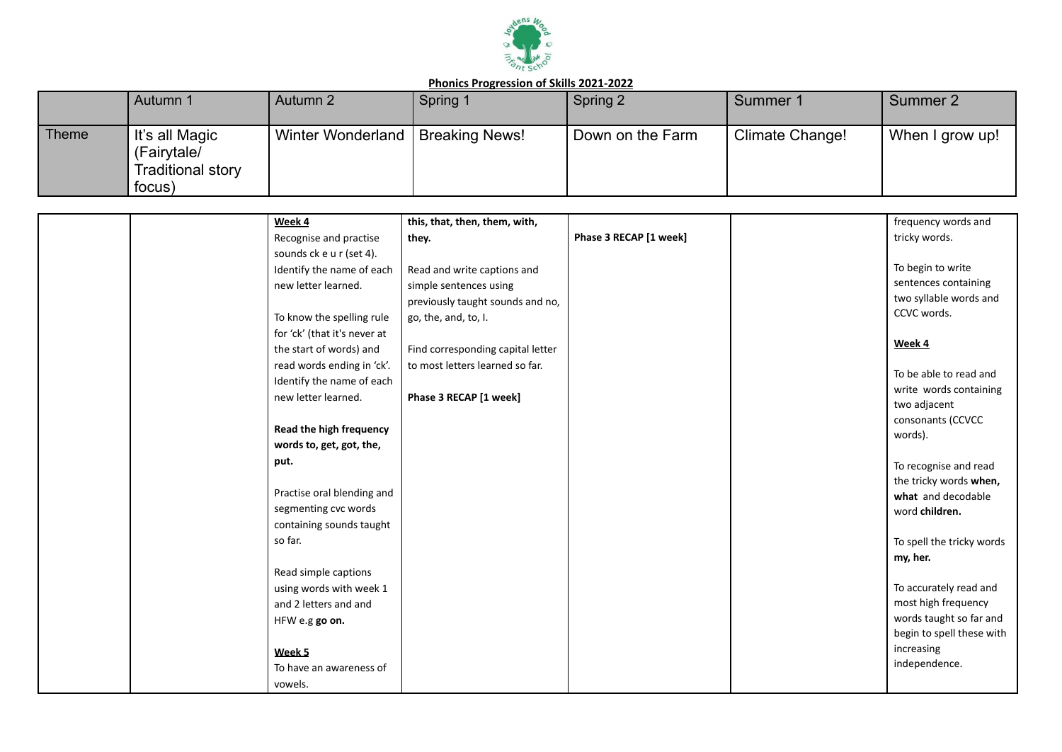

|       | Autumn 1                                                            | Autumn 2                 | Spring 1       | Spring 2         | Summer 1        | Summer 2        |
|-------|---------------------------------------------------------------------|--------------------------|----------------|------------------|-----------------|-----------------|
| Theme | It's all Magic<br>(Fairytale/<br><b>Traditional story</b><br>focus) | <b>Winter Wonderland</b> | Breaking News! | Down on the Farm | Climate Change! | When I grow up! |

| Week 4                       | this, that, then, them, with,     |                        | frequency words and                    |
|------------------------------|-----------------------------------|------------------------|----------------------------------------|
| Recognise and practise       | they.                             | Phase 3 RECAP [1 week] | tricky words.                          |
| sounds ck e u r (set 4).     |                                   |                        |                                        |
| Identify the name of each    | Read and write captions and       |                        | To begin to write                      |
| new letter learned.          | simple sentences using            |                        | sentences containing                   |
|                              | previously taught sounds and no,  |                        | two syllable words and                 |
| To know the spelling rule    | go, the, and, to, I.              |                        | CCVC words.                            |
| for 'ck' (that it's never at |                                   |                        |                                        |
| the start of words) and      | Find corresponding capital letter |                        | Week 4                                 |
| read words ending in 'ck'.   | to most letters learned so far.   |                        |                                        |
| Identify the name of each    |                                   |                        | To be able to read and                 |
| new letter learned.          | Phase 3 RECAP [1 week]            |                        | write words containing<br>two adjacent |
|                              |                                   |                        | consonants (CCVCC                      |
| Read the high frequency      |                                   |                        | words).                                |
| words to, get, got, the,     |                                   |                        |                                        |
| put.                         |                                   |                        | To recognise and read                  |
|                              |                                   |                        | the tricky words when,                 |
| Practise oral blending and   |                                   |                        | what and decodable                     |
| segmenting cvc words         |                                   |                        | word children.                         |
| containing sounds taught     |                                   |                        |                                        |
| so far.                      |                                   |                        | To spell the tricky words              |
|                              |                                   |                        | my, her.                               |
| Read simple captions         |                                   |                        |                                        |
| using words with week 1      |                                   |                        | To accurately read and                 |
| and 2 letters and and        |                                   |                        | most high frequency                    |
| HFW e.g go on.               |                                   |                        | words taught so far and                |
|                              |                                   |                        | begin to spell these with              |
| Week 5                       |                                   |                        | increasing                             |
| To have an awareness of      |                                   |                        | independence.                          |
| vowels.                      |                                   |                        |                                        |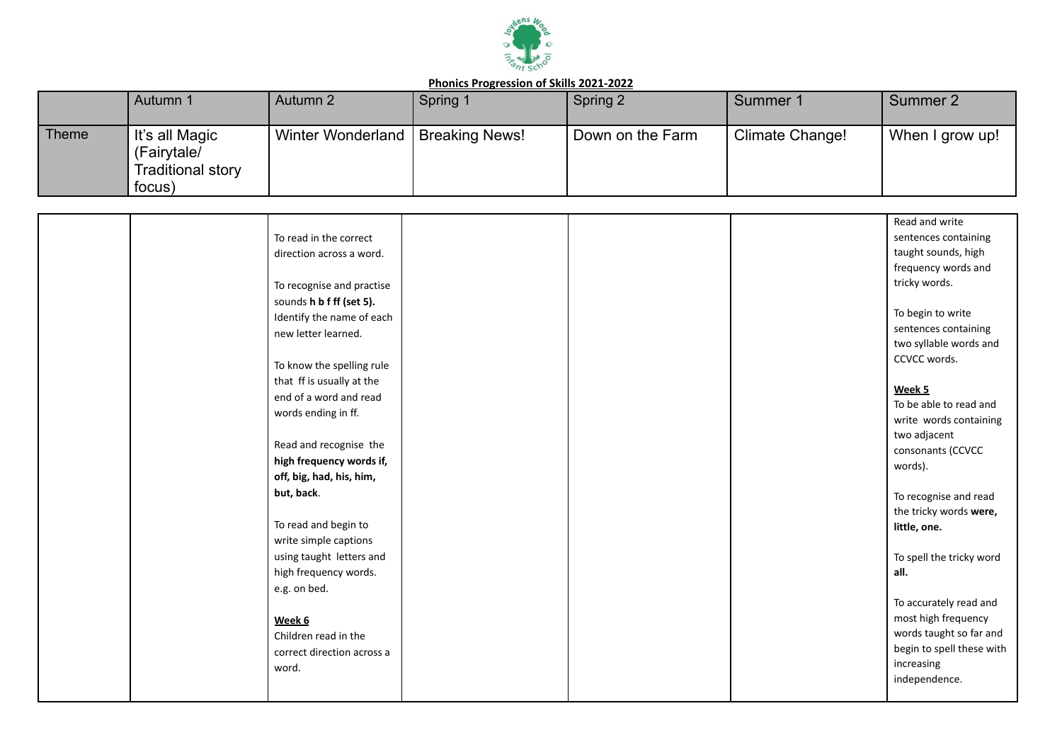

|       | Autumn 1                                                            | Autumn 2          | Spring 1              | Spring 2         | Summer 1        | Summer 2        |
|-------|---------------------------------------------------------------------|-------------------|-----------------------|------------------|-----------------|-----------------|
| Theme | It's all Magic<br>(Fairytale/<br><b>Traditional story</b><br>focus) | Winter Wonderland | <b>Breaking News!</b> | Down on the Farm | Climate Change! | When I grow up! |

|  |                            |  | Read and write            |
|--|----------------------------|--|---------------------------|
|  | To read in the correct     |  | sentences containing      |
|  | direction across a word.   |  | taught sounds, high       |
|  |                            |  | frequency words and       |
|  | To recognise and practise  |  | tricky words.             |
|  | sounds h b f ff (set 5).   |  |                           |
|  | Identify the name of each  |  | To begin to write         |
|  | new letter learned.        |  | sentences containing      |
|  |                            |  | two syllable words and    |
|  | To know the spelling rule  |  | CCVCC words.              |
|  | that ff is usually at the  |  |                           |
|  | end of a word and read     |  | Week 5                    |
|  | words ending in ff.        |  | To be able to read and    |
|  |                            |  | write words containing    |
|  |                            |  | two adjacent              |
|  | Read and recognise the     |  | consonants (CCVCC         |
|  | high frequency words if,   |  | words).                   |
|  | off, big, had, his, him,   |  |                           |
|  | but, back.                 |  | To recognise and read     |
|  |                            |  | the tricky words were,    |
|  | To read and begin to       |  | little, one.              |
|  | write simple captions      |  |                           |
|  | using taught letters and   |  | To spell the tricky word  |
|  | high frequency words.      |  | all.                      |
|  | e.g. on bed.               |  |                           |
|  |                            |  | To accurately read and    |
|  | Week 6                     |  | most high frequency       |
|  | Children read in the       |  | words taught so far and   |
|  | correct direction across a |  | begin to spell these with |
|  | word.                      |  | increasing                |
|  |                            |  | independence.             |
|  |                            |  |                           |
|  |                            |  |                           |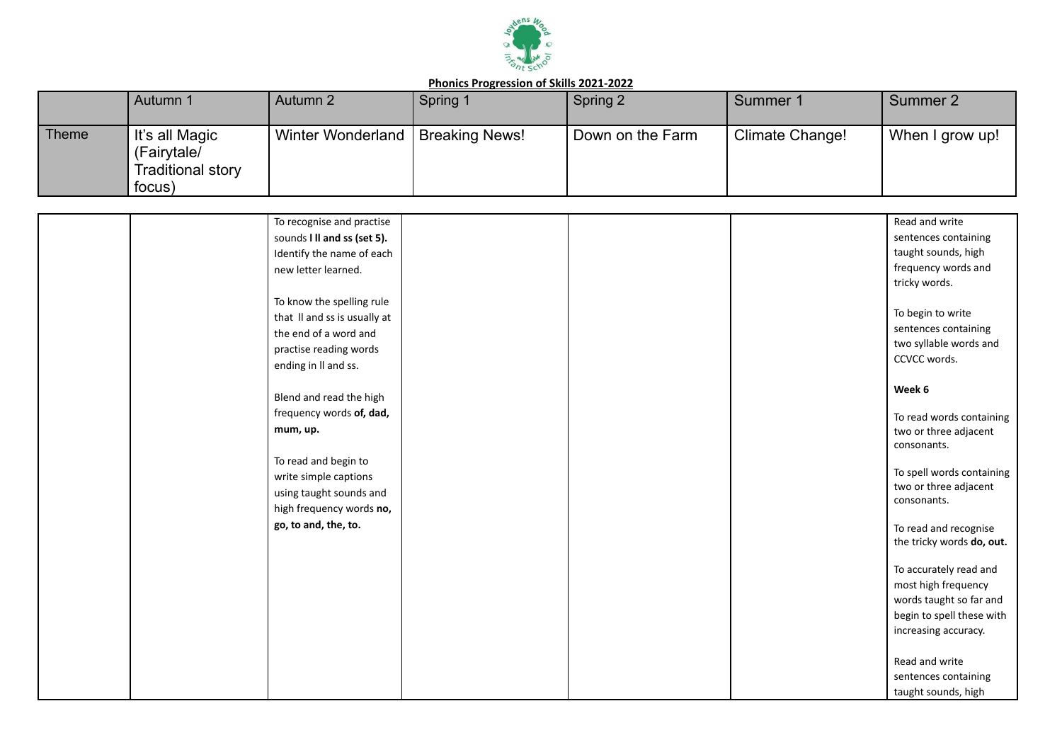

|       | Autumn 1                                                     | Autumn 2                 | Spring 1              | Spring 2         | Summer 1        | Summer 2        |
|-------|--------------------------------------------------------------|--------------------------|-----------------------|------------------|-----------------|-----------------|
| Theme | It's all Magic<br>(Fairytale/<br>Traditional story<br>focus) | <b>Winter Wonderland</b> | <b>Breaking News!</b> | Down on the Farm | Climate Change! | When I grow up! |

| To recognise and practise    |  | Read and write                                    |
|------------------------------|--|---------------------------------------------------|
| sounds I II and ss (set 5).  |  | sentences containing                              |
| Identify the name of each    |  | taught sounds, high                               |
| new letter learned.          |  | frequency words and                               |
|                              |  | tricky words.                                     |
| To know the spelling rule    |  |                                                   |
| that II and ss is usually at |  | To begin to write                                 |
| the end of a word and        |  | sentences containing                              |
| practise reading words       |  | two syllable words and                            |
| ending in II and ss.         |  | CCVCC words.                                      |
|                              |  |                                                   |
| Blend and read the high      |  | Week 6                                            |
| frequency words of, dad,     |  |                                                   |
| mum, up.                     |  | To read words containing<br>two or three adjacent |
|                              |  | consonants.                                       |
| To read and begin to         |  |                                                   |
| write simple captions        |  | To spell words containing                         |
| using taught sounds and      |  | two or three adjacent                             |
| high frequency words no,     |  | consonants.                                       |
| go, to and, the, to.         |  |                                                   |
|                              |  | To read and recognise                             |
|                              |  | the tricky words do, out.                         |
|                              |  | To accurately read and                            |
|                              |  | most high frequency                               |
|                              |  | words taught so far and                           |
|                              |  | begin to spell these with                         |
|                              |  | increasing accuracy.                              |
|                              |  |                                                   |
|                              |  | Read and write                                    |
|                              |  | sentences containing                              |
|                              |  | taught sounds, high                               |
|                              |  |                                                   |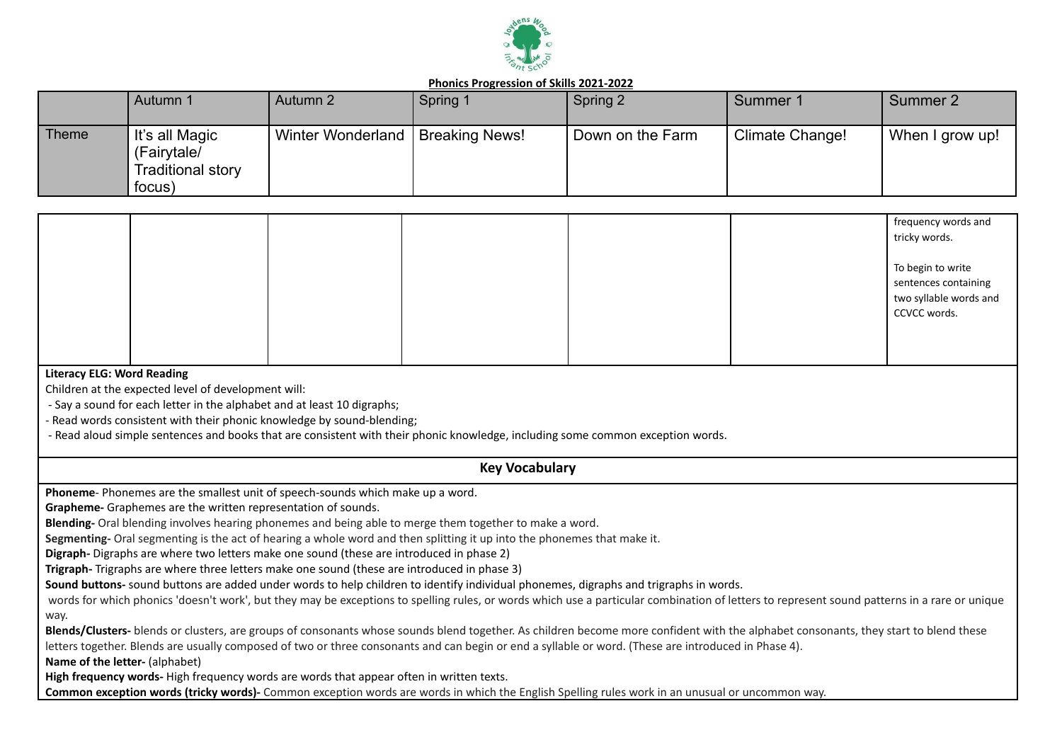

|              | Autumn 1                                                            | Autumn 2          | Spring 1       | Spring 2         | Summer 1        | Summer 2        |
|--------------|---------------------------------------------------------------------|-------------------|----------------|------------------|-----------------|-----------------|
| <b>Theme</b> | It's all Magic<br>(Fairytale/<br><b>Traditional story</b><br>focus) | Winter Wonderland | Breaking News! | Down on the Farm | Climate Change! | When I grow up! |

|  |  |  | frequency words and<br>tricky words.                                                |
|--|--|--|-------------------------------------------------------------------------------------|
|  |  |  | To begin to write<br>sentences containing<br>two syllable words and<br>CCVCC words. |
|  |  |  |                                                                                     |

#### **Literacy ELG: Word Reading**

Children at the expected level of development will:

- Say a sound for each letter in the alphabet and at least 10 digraphs;

- Read words consistent with their phonic knowledge by sound-blending;

- Read aloud simple sentences and books that are consistent with their phonic knowledge, including some common exception words.

### **Key Vocabulary**

**Phoneme**- Phonemes are the smallest unit of speech-sounds which make up a word.

**Grapheme-** Graphemes are the written representation of sounds.

**Blending-** Oral blending involves hearing phonemes and being able to merge them together to make a word.

**Segmenting-** Oral segmenting is the act of hearing a whole word and then splitting it up into the phonemes that make it.

**Digraph-** Digraphs are where two letters make one sound (these are introduced in phase 2)

**Trigraph-** Trigraphs are where three letters make one sound (these are introduced in phase 3)

**Sound buttons-** sound buttons are added under words to help children to identify individual phonemes, digraphs and trigraphs in words.

words for which phonics 'doesn't work', but they may be exceptions to spelling rules, or words which use a particular combination of letters to represent sound patterns in a rare or unique way.

**Blends/Clusters-** blends or clusters, are groups of consonants whose sounds blend together. As children become more confident with the alphabet consonants, they start to blend these letters together. Blends are usually composed of two or three consonants and can begin or end a syllable or word. (These are introduced in Phase 4).

**Name of the letter-** (alphabet)

**High frequency words-** High frequency words are words that appear often in written texts.

**Common exception words (tricky words)-** Common exception words are words in which the English Spelling rules work in an unusual or uncommon way.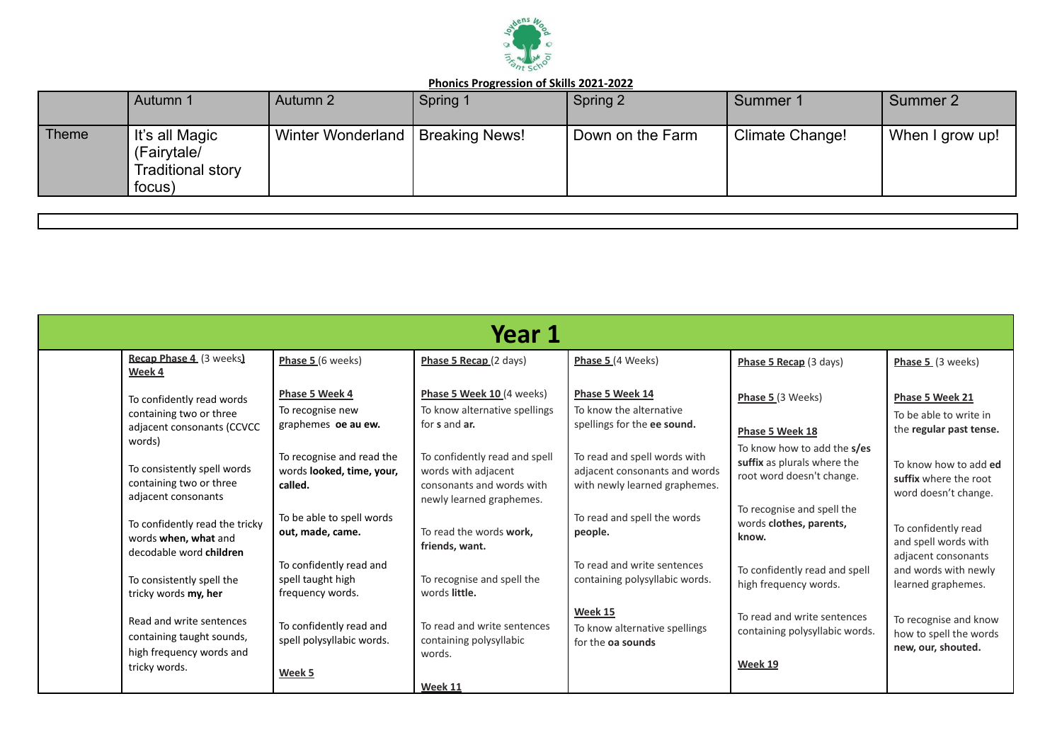

|              | Autumn 1                                                            | Autumn 2          | Spring 1              | Spring 2         | Summer 1        | Summer 2        |
|--------------|---------------------------------------------------------------------|-------------------|-----------------------|------------------|-----------------|-----------------|
| <b>Theme</b> | It's all Magic<br>(Fairytale/<br><b>Traditional story</b><br>focus) | Winter Wonderland | <b>Breaking News!</b> | Down on the Farm | Climate Change! | When I grow up! |

| Year 1                                                                                       |                                                                   |                                                                                                               |                                                                                                |                                                                                         |                                                                        |  |  |  |
|----------------------------------------------------------------------------------------------|-------------------------------------------------------------------|---------------------------------------------------------------------------------------------------------------|------------------------------------------------------------------------------------------------|-----------------------------------------------------------------------------------------|------------------------------------------------------------------------|--|--|--|
| Recap Phase 4 (3 weeks)<br>Week 4                                                            | Phase 5 (6 weeks)                                                 | Phase 5 Recap (2 days)                                                                                        | Phase 5 (4 Weeks)                                                                              | Phase 5 Recap (3 days)                                                                  | Phase 5 (3 weeks)                                                      |  |  |  |
| To confidently read words<br>containing two or three<br>adjacent consonants (CCVCC<br>words) | Phase 5 Week 4<br>To recognise new<br>graphemes oe au ew.         | Phase 5 Week 10 (4 weeks)<br>To know alternative spellings<br>for s and ar.                                   | Phase 5 Week 14<br>To know the alternative<br>spellings for the ee sound.                      | Phase 5 (3 Weeks)<br>Phase 5 Week 18                                                    | Phase 5 Week 21<br>To be able to write in<br>the regular past tense.   |  |  |  |
| To consistently spell words<br>containing two or three<br>adjacent consonants                | To recognise and read the<br>words looked, time, your,<br>called. | To confidently read and spell<br>words with adjacent<br>consonants and words with<br>newly learned graphemes. | To read and spell words with<br>adjacent consonants and words<br>with newly learned graphemes. | To know how to add the s/es<br>suffix as plurals where the<br>root word doesn't change. | To know how to add ed<br>suffix where the root<br>word doesn't change. |  |  |  |
| To confidently read the tricky<br>words when, what and<br>decodable word children            | To be able to spell words<br>out, made, came.                     | To read the words work,<br>friends, want.                                                                     | To read and spell the words<br>people.                                                         | To recognise and spell the<br>words clothes, parents,<br>know.                          | To confidently read<br>and spell words with<br>adjacent consonants     |  |  |  |
| To consistently spell the<br>tricky words my, her                                            | To confidently read and<br>spell taught high<br>frequency words.  | To recognise and spell the<br>words little.                                                                   | To read and write sentences<br>containing polysyllabic words.                                  | To confidently read and spell<br>high frequency words.                                  | and words with newly<br>learned graphemes.                             |  |  |  |
| Read and write sentences<br>containing taught sounds,<br>high frequency words and            | To confidently read and<br>spell polysyllabic words.              | To read and write sentences<br>containing polysyllabic<br>words.                                              | Week 15<br>To know alternative spellings<br>for the oa sounds                                  | To read and write sentences<br>containing polysyllabic words.                           | To recognise and know<br>how to spell the words<br>new, our, shouted.  |  |  |  |
| tricky words.                                                                                | Week 5                                                            | Week 11                                                                                                       |                                                                                                | Week 19                                                                                 |                                                                        |  |  |  |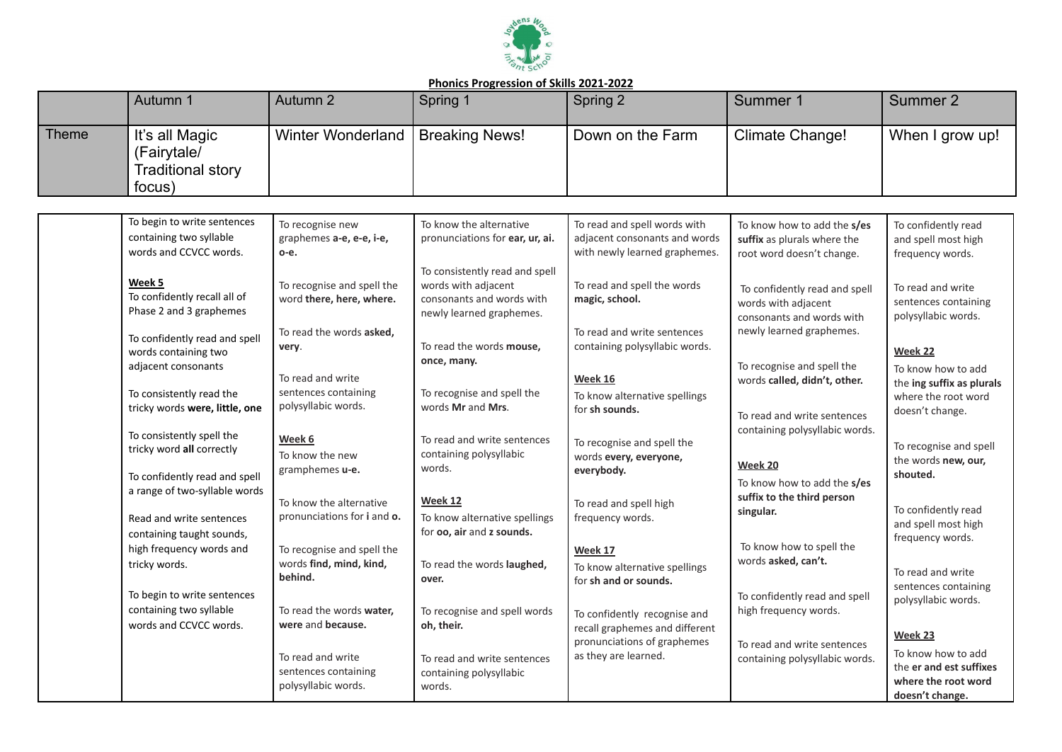

|       | Autumn 1                                                                                   | Autumn 2                                                         | Spring 1                                                                                                       | Spring 2                                                                                       | Summer 1                                                                                | Summer 2                                                                                |
|-------|--------------------------------------------------------------------------------------------|------------------------------------------------------------------|----------------------------------------------------------------------------------------------------------------|------------------------------------------------------------------------------------------------|-----------------------------------------------------------------------------------------|-----------------------------------------------------------------------------------------|
| Theme | It's all Magic<br>(Fairytale/<br><b>Traditional story</b><br>focus)                        | <b>Winter Wonderland</b>                                         | <b>Breaking News!</b>                                                                                          | Down on the Farm                                                                               | <b>Climate Change!</b>                                                                  | When I grow up!                                                                         |
|       |                                                                                            |                                                                  |                                                                                                                |                                                                                                |                                                                                         |                                                                                         |
|       | To begin to write sentences<br>containing two syllable<br>words and CCVCC words.           | To recognise new<br>graphemes a-e, e-e, i-e,<br>о-е.             | To know the alternative<br>pronunciations for ear, ur, ai.                                                     | To read and spell words with<br>adjacent consonants and words<br>with newly learned graphemes. | To know how to add the s/es<br>suffix as plurals where the<br>root word doesn't change. | To confidently read<br>and spell most high<br>frequency words.                          |
|       | Week 5<br>To confidently recall all of<br>Phase 2 and 3 graphemes                          | To recognise and spell the<br>word there, here, where.           | To consistently read and spell<br>words with adjacent<br>consonants and words with<br>newly learned graphemes. | To read and spell the words<br>magic, school.                                                  | To confidently read and spell<br>words with adjacent<br>consonants and words with       | To read and write<br>sentences containing<br>polysyllabic words.                        |
|       | To confidently read and spell<br>words containing two<br>adjacent consonants               | To read the words asked,<br>very.                                | To read the words mouse,<br>once, many.                                                                        | To read and write sentences<br>containing polysyllabic words.                                  | newly learned graphemes.<br>To recognise and spell the                                  | Week 22<br>To know how to add                                                           |
|       | To consistently read the<br>tricky words were, little, one                                 | To read and write<br>sentences containing<br>polysyllabic words. | To recognise and spell the<br>words Mr and Mrs.                                                                | <b>Week 16</b><br>To know alternative spellings<br>for sh sounds.                              | words called, didn't, other.<br>To read and write sentences                             | the ing suffix as plurals<br>where the root word<br>doesn't change.                     |
|       | To consistently spell the<br>tricky word all correctly                                     | Week 6<br>To know the new<br>gramphemes u-e.                     | To read and write sentences<br>containing polysyllabic<br>words.                                               | To recognise and spell the<br>words every, everyone,<br>everybody.                             | containing polysyllabic words.<br>Week 20                                               | To recognise and spell<br>the words new, our,<br>shouted.                               |
|       | To confidently read and spell<br>a range of two-syllable words<br>Read and write sentences | To know the alternative<br>pronunciations for i and o.           | Week 12<br>To know alternative spellings                                                                       | To read and spell high<br>frequency words.                                                     | To know how to add the s/es<br>suffix to the third person<br>singular.                  | To confidently read                                                                     |
|       | containing taught sounds,<br>high frequency words and                                      | To recognise and spell the                                       | for oo, air and z sounds.                                                                                      | Week 17                                                                                        | To know how to spell the<br>words asked, can't.                                         | and spell most high<br>frequency words.                                                 |
|       | tricky words.<br>To begin to write sentences                                               | words find, mind, kind,<br>behind.                               | To read the words laughed,<br>over.                                                                            | To know alternative spellings<br>for sh and or sounds.                                         | To confidently read and spell                                                           | To read and write<br>sentences containing<br>polysyllabic words.                        |
|       | containing two syllable<br>words and CCVCC words.                                          | To read the words water,<br>were and because.                    | To recognise and spell words<br>oh, their.                                                                     | To confidently recognise and<br>recall graphemes and different                                 | high frequency words.                                                                   | Week 23                                                                                 |
|       |                                                                                            | To read and write<br>sentences containing<br>polysyllabic words. | To read and write sentences<br>containing polysyllabic<br>words.                                               | pronunciations of graphemes<br>as they are learned.                                            | To read and write sentences<br>containing polysyllabic words.                           | To know how to add<br>the er and est suffixes<br>where the root word<br>doesn't change. |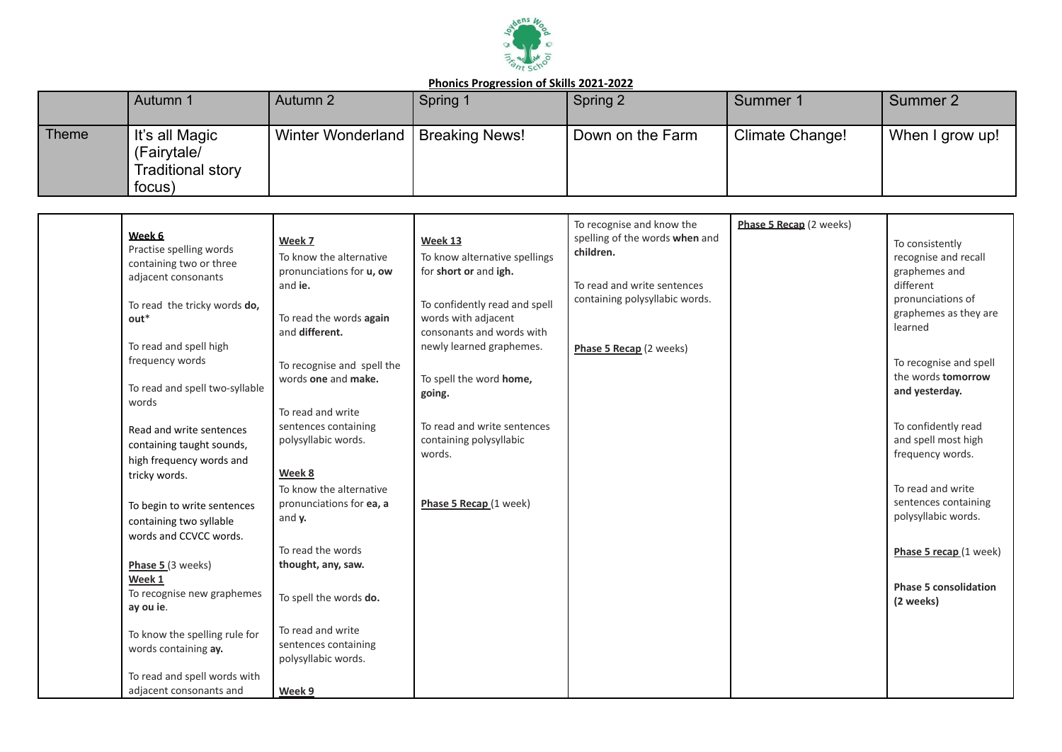

|              | Autumn 1                                                            | Autumn 2                 | Spring 1              | Spring 2         | Summer 1        | Summer 2        |
|--------------|---------------------------------------------------------------------|--------------------------|-----------------------|------------------|-----------------|-----------------|
| <b>Theme</b> | It's all Magic<br>(Fairytale/<br><b>Traditional story</b><br>focus) | <b>Winter Wonderland</b> | <b>Breaking News!</b> | Down on the Farm | Climate Change! | When I grow up! |

| Week 6<br>Practise spelling words<br>containing two or three<br>adjacent consonants<br>To read the tricky words do,<br>$out*$<br>To read and spell high<br>frequency words<br>To read and spell two-syllable<br>words<br>Read and write sentences<br>containing taught sounds,<br>high frequency words and<br>tricky words.<br>To begin to write sentences<br>containing two syllable<br>words and CCVCC words.<br>Phase 5 (3 weeks)<br>Week 1<br>To recognise new graphemes<br>ay ou ie.<br>To know the spelling rule for<br>words containing ay. | Week 7<br>To know the alternative<br>pronunciations for u, ow<br>and ie.<br>To read the words again<br>and different.<br>To recognise and spell the<br>words one and make.<br>To read and write<br>sentences containing<br>polysyllabic words.<br>Week 8<br>To know the alternative<br>pronunciations for ea, a<br>and y.<br>To read the words<br>thought, any, saw.<br>To spell the words do.<br>To read and write<br>sentences containing | Week 13<br>To know alternative spellings<br>for short or and igh.<br>To confidently read and spell<br>words with adjacent<br>consonants and words with<br>newly learned graphemes.<br>To spell the word home,<br>going.<br>To read and write sentences<br>containing polysyllabic<br>words.<br>Phase 5 Recap (1 week) | To recognise and know the<br>spelling of the words when and<br>children.<br>To read and write sentences<br>containing polysyllabic words.<br>Phase 5 Recap (2 weeks) | Phase 5 Recap (2 weeks) | To consistently<br>recognise and recall<br>graphemes and<br>different<br>pronunciations of<br>graphemes as they are<br>learned<br>To recognise and spell<br>the words <b>tomorrow</b><br>and yesterday.<br>To confidently read<br>and spell most high<br>frequency words.<br>To read and write<br>sentences containing<br>polysyllabic words.<br>Phase 5 recap (1 week)<br><b>Phase 5 consolidation</b><br>(2 weeks) |
|----------------------------------------------------------------------------------------------------------------------------------------------------------------------------------------------------------------------------------------------------------------------------------------------------------------------------------------------------------------------------------------------------------------------------------------------------------------------------------------------------------------------------------------------------|---------------------------------------------------------------------------------------------------------------------------------------------------------------------------------------------------------------------------------------------------------------------------------------------------------------------------------------------------------------------------------------------------------------------------------------------|-----------------------------------------------------------------------------------------------------------------------------------------------------------------------------------------------------------------------------------------------------------------------------------------------------------------------|----------------------------------------------------------------------------------------------------------------------------------------------------------------------|-------------------------|----------------------------------------------------------------------------------------------------------------------------------------------------------------------------------------------------------------------------------------------------------------------------------------------------------------------------------------------------------------------------------------------------------------------|
| To read and spell words with<br>adjacent consonants and                                                                                                                                                                                                                                                                                                                                                                                                                                                                                            | polysyllabic words.<br>Week 9                                                                                                                                                                                                                                                                                                                                                                                                               |                                                                                                                                                                                                                                                                                                                       |                                                                                                                                                                      |                         |                                                                                                                                                                                                                                                                                                                                                                                                                      |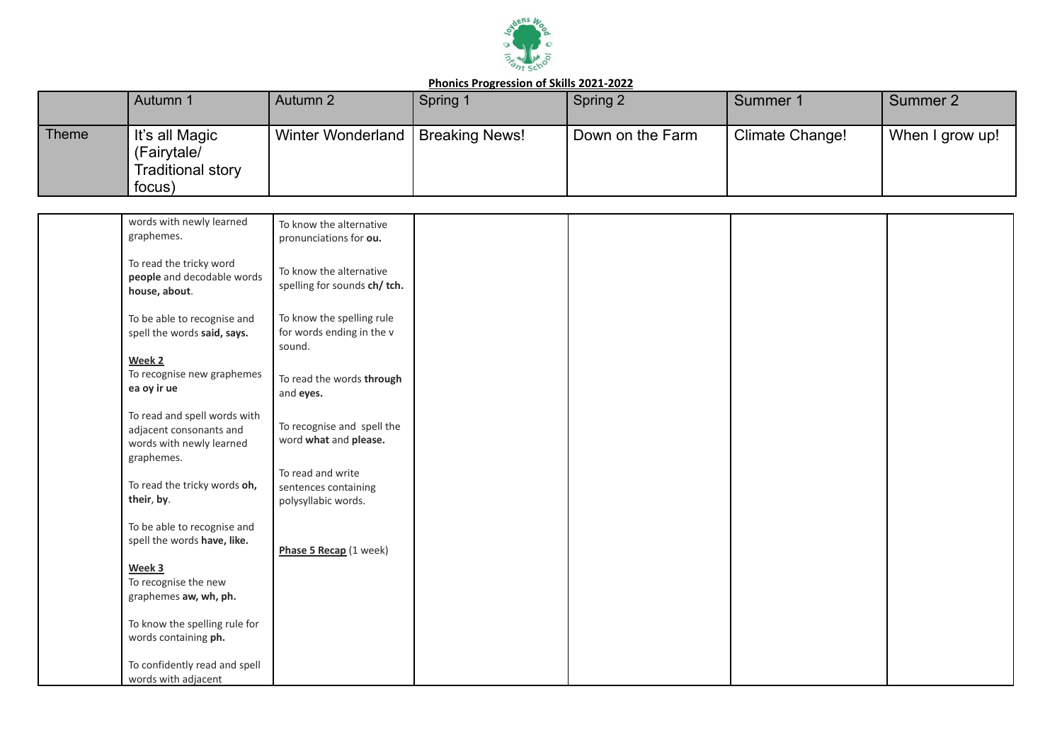

|              | Autumn 1                                                            | Autumn 2                 | Spring 1              | Spring 2         | Summer 1        | Summer 2        |
|--------------|---------------------------------------------------------------------|--------------------------|-----------------------|------------------|-----------------|-----------------|
| <b>Theme</b> | It's all Magic<br>(Fairytale/<br><b>Traditional story</b><br>focus) | <b>Winter Wonderland</b> | <b>Breaking News!</b> | Down on the Farm | Climate Change! | When I grow up! |

| words with newly learned       |                              |  |  |
|--------------------------------|------------------------------|--|--|
| graphemes.                     | To know the alternative      |  |  |
|                                | pronunciations for ou.       |  |  |
| To read the tricky word        |                              |  |  |
| people and decodable words     | To know the alternative      |  |  |
| house, about.                  | spelling for sounds ch/ tch. |  |  |
|                                |                              |  |  |
| To be able to recognise and    | To know the spelling rule    |  |  |
| spell the words said, says.    | for words ending in the v    |  |  |
|                                | sound.                       |  |  |
| Week 2                         |                              |  |  |
| To recognise new graphemes     | To read the words through    |  |  |
| ea oy ir ue                    | and eyes.                    |  |  |
|                                |                              |  |  |
| To read and spell words with   |                              |  |  |
| adjacent consonants and        | To recognise and spell the   |  |  |
| words with newly learned       | word what and please.        |  |  |
| graphemes.                     |                              |  |  |
|                                | To read and write            |  |  |
| To read the tricky words oh,   | sentences containing         |  |  |
| their, by.                     | polysyllabic words.          |  |  |
|                                |                              |  |  |
| To be able to recognise and    |                              |  |  |
| spell the words have, like.    | Phase 5 Recap (1 week)       |  |  |
|                                |                              |  |  |
| Week 3<br>To recognise the new |                              |  |  |
| graphemes aw, wh, ph.          |                              |  |  |
|                                |                              |  |  |
| To know the spelling rule for  |                              |  |  |
| words containing ph.           |                              |  |  |
|                                |                              |  |  |
| To confidently read and spell  |                              |  |  |
| words with adjacent            |                              |  |  |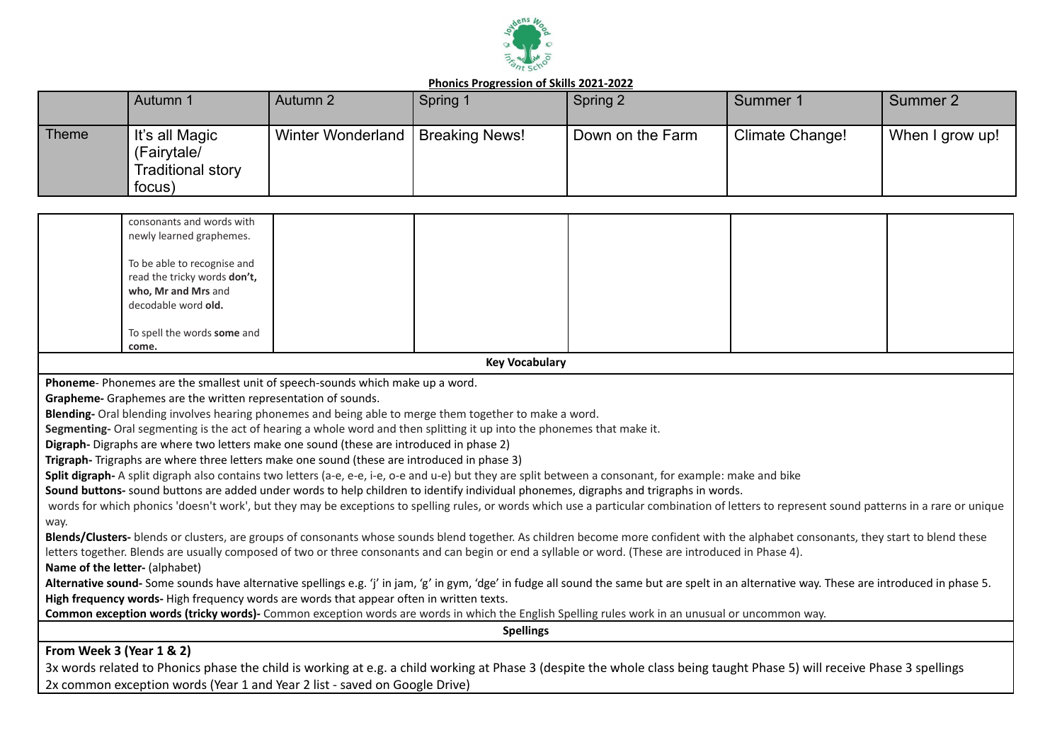

|              | Autumn 1                                                            | Autumn 2                 | Spring 1              | Spring 2         | Summer 1        | Summer 2        |
|--------------|---------------------------------------------------------------------|--------------------------|-----------------------|------------------|-----------------|-----------------|
| <b>Theme</b> | It's all Magic<br>(Fairytale/<br><b>Traditional story</b><br>focus) | <b>Winter Wonderland</b> | <b>Breaking News!</b> | Down on the Farm | Climate Change! | When I grow up! |

|                          | consonants and words with                                                                                               |                       |                                                                                                                                                                                                |  |
|--------------------------|-------------------------------------------------------------------------------------------------------------------------|-----------------------|------------------------------------------------------------------------------------------------------------------------------------------------------------------------------------------------|--|
|                          | newly learned graphemes.                                                                                                |                       |                                                                                                                                                                                                |  |
|                          |                                                                                                                         |                       |                                                                                                                                                                                                |  |
|                          | To be able to recognise and<br>read the tricky words don't,                                                             |                       |                                                                                                                                                                                                |  |
|                          | who, Mr and Mrs and                                                                                                     |                       |                                                                                                                                                                                                |  |
|                          | decodable word old.                                                                                                     |                       |                                                                                                                                                                                                |  |
|                          |                                                                                                                         |                       |                                                                                                                                                                                                |  |
|                          | To spell the words some and                                                                                             |                       |                                                                                                                                                                                                |  |
|                          | come.                                                                                                                   |                       |                                                                                                                                                                                                |  |
|                          |                                                                                                                         | <b>Key Vocabulary</b> |                                                                                                                                                                                                |  |
|                          | Phoneme-Phonemes are the smallest unit of speech-sounds which make up a word.                                           |                       |                                                                                                                                                                                                |  |
|                          | Grapheme- Graphemes are the written representation of sounds.                                                           |                       |                                                                                                                                                                                                |  |
|                          | Blending- Oral blending involves hearing phonemes and being able to merge them together to make a word.                 |                       |                                                                                                                                                                                                |  |
|                          | Segmenting- Oral segmenting is the act of hearing a whole word and then splitting it up into the phonemes that make it. |                       |                                                                                                                                                                                                |  |
|                          | Digraph- Digraphs are where two letters make one sound (these are introduced in phase 2)                                |                       |                                                                                                                                                                                                |  |
|                          | Trigraph-Trigraphs are where three letters make one sound (these are introduced in phase 3)                             |                       |                                                                                                                                                                                                |  |
|                          |                                                                                                                         |                       | Split digraph- A split digraph also contains two letters (a-e, e-e, i-e, o-e and u-e) but they are split between a consonant, for example: make and bike                                       |  |
|                          |                                                                                                                         |                       | Sound buttons- sound buttons are added under words to help children to identify individual phonemes, digraphs and trigraphs in words.                                                          |  |
|                          |                                                                                                                         |                       | words for which phonics 'doesn't work', but they may be exceptions to spelling rules, or words which use a particular combination of letters to represent sound patterns in a rare or unique   |  |
| way.                     |                                                                                                                         |                       |                                                                                                                                                                                                |  |
|                          |                                                                                                                         |                       | Blends/Clusters- blends or clusters, are groups of consonants whose sounds blend together. As children become more confident with the alphabet consonants, they start to blend these           |  |
|                          |                                                                                                                         |                       | letters together. Blends are usually composed of two or three consonants and can begin or end a syllable or word. (These are introduced in Phase 4).                                           |  |
|                          | Name of the letter- (alphabet)                                                                                          |                       |                                                                                                                                                                                                |  |
|                          |                                                                                                                         |                       | Alternative sound- Some sounds have alternative spellings e.g. 'j' in jam, 'g' in gym, 'dge' in fudge all sound the same but are spelt in an alternative way. These are introduced in phase 5. |  |
|                          | High frequency words-High frequency words are words that appear often in written texts.                                 |                       |                                                                                                                                                                                                |  |
|                          |                                                                                                                         |                       | Common exception words (tricky words)- Common exception words are words in which the English Spelling rules work in an unusual or uncommon way.                                                |  |
|                          |                                                                                                                         | <b>Spellings</b>      |                                                                                                                                                                                                |  |
| From Week 3 (Year 1 & 2) |                                                                                                                         |                       |                                                                                                                                                                                                |  |
|                          |                                                                                                                         |                       |                                                                                                                                                                                                |  |

3x words related to Phonics phase the child is working at e.g. a child working at Phase 3 (despite the whole class being taught Phase 5) will receive Phase 3 spellings 2x common exception words (Year 1 and Year 2 list - saved on Google Drive)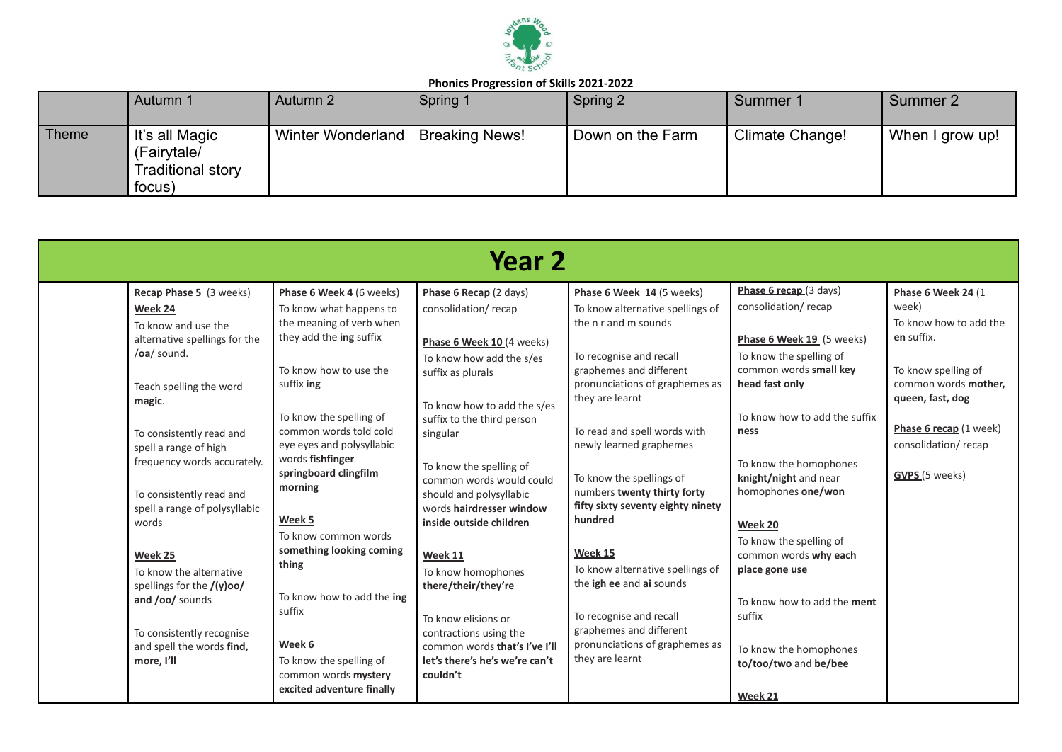

|       | Autumn 1                                                              | Autumn 2                           | Spring 1 | Spring 2         | Summer 1        | Summer 2        |
|-------|-----------------------------------------------------------------------|------------------------------------|----------|------------------|-----------------|-----------------|
| Theme | ∣ It's all Magic<br>(Fairytale/<br><b>Traditional story</b><br>focus) | Winter Wonderland   Breaking News! |          | Down on the Farm | Climate Change! | When I grow up! |

|                                                                                                           |                                                                                                            | Year 2                                                                                                                       |                                                                                                                  |                                                                                                       |                                                                        |
|-----------------------------------------------------------------------------------------------------------|------------------------------------------------------------------------------------------------------------|------------------------------------------------------------------------------------------------------------------------------|------------------------------------------------------------------------------------------------------------------|-------------------------------------------------------------------------------------------------------|------------------------------------------------------------------------|
| Recap Phase 5 (3 weeks)<br>Week 24<br>To know and use the<br>alternative spellings for the<br>/oa/ sound. | Phase 6 Week 4 (6 weeks)<br>To know what happens to<br>the meaning of verb when<br>they add the ing suffix | Phase 6 Recap (2 days)<br>consolidation/recap<br>Phase 6 Week 10 (4 weeks)<br>To know how add the s/es                       | Phase 6 Week 14 (5 weeks)<br>To know alternative spellings of<br>the n r and m sounds<br>To recognise and recall | Phase 6 recap (3 days)<br>consolidation/recap<br>Phase 6 Week 19 (5 weeks)<br>To know the spelling of | Phase 6 Week 24 (1)<br>week)<br>To know how to add the<br>en suffix.   |
| Teach spelling the word<br>magic.                                                                         | To know how to use the<br>suffix ing<br>To know the spelling of                                            | suffix as plurals<br>To know how to add the s/es<br>suffix to the third person                                               | graphemes and different<br>pronunciations of graphemes as<br>they are learnt                                     | common words small key<br>head fast only<br>To know how to add the suffix                             | To know spelling of<br>common words mother,<br>queen, fast, dog        |
| To consistently read and<br>spell a range of high<br>frequency words accurately.                          | common words told cold<br>eye eyes and polysyllabic<br>words fishfinger<br>springboard clingfilm           | singular<br>To know the spelling of<br>common words would could                                                              | To read and spell words with<br>newly learned graphemes<br>To know the spellings of                              | ness<br>To know the homophones<br>knight/night and near                                               | Phase 6 recap (1 week)<br>consolidation/recap<br><b>GVPS</b> (5 weeks) |
| To consistently read and<br>spell a range of polysyllabic<br>words                                        | morning<br>Week 5<br>To know common words                                                                  | should and polysyllabic<br>words hairdresser window<br>inside outside children                                               | numbers twenty thirty forty<br>fifty sixty seventy eighty ninety<br>hundred                                      | homophones one/won<br>Week 20<br>To know the spelling of                                              |                                                                        |
| Week 25<br>To know the alternative<br>spellings for the /(y)oo/<br>and /oo/ sounds                        | something looking coming<br>thing<br>To know how to add the ing                                            | Week 11<br>To know homophones<br>there/their/they're                                                                         | Week 15<br>To know alternative spellings of<br>the igh ee and ai sounds                                          | common words why each<br>place gone use<br>To know how to add the ment                                |                                                                        |
| To consistently recognise<br>and spell the words find,<br>more, I'll                                      | suffix<br>Week 6<br>To know the spelling of<br>common words mystery<br>excited adventure finally           | To know elisions or<br>contractions using the<br>common words that's I've I'll<br>let's there's he's we're can't<br>couldn't | To recognise and recall<br>graphemes and different<br>pronunciations of graphemes as<br>they are learnt          | suffix<br>To know the homophones<br>to/too/two and be/bee<br>Week 21                                  |                                                                        |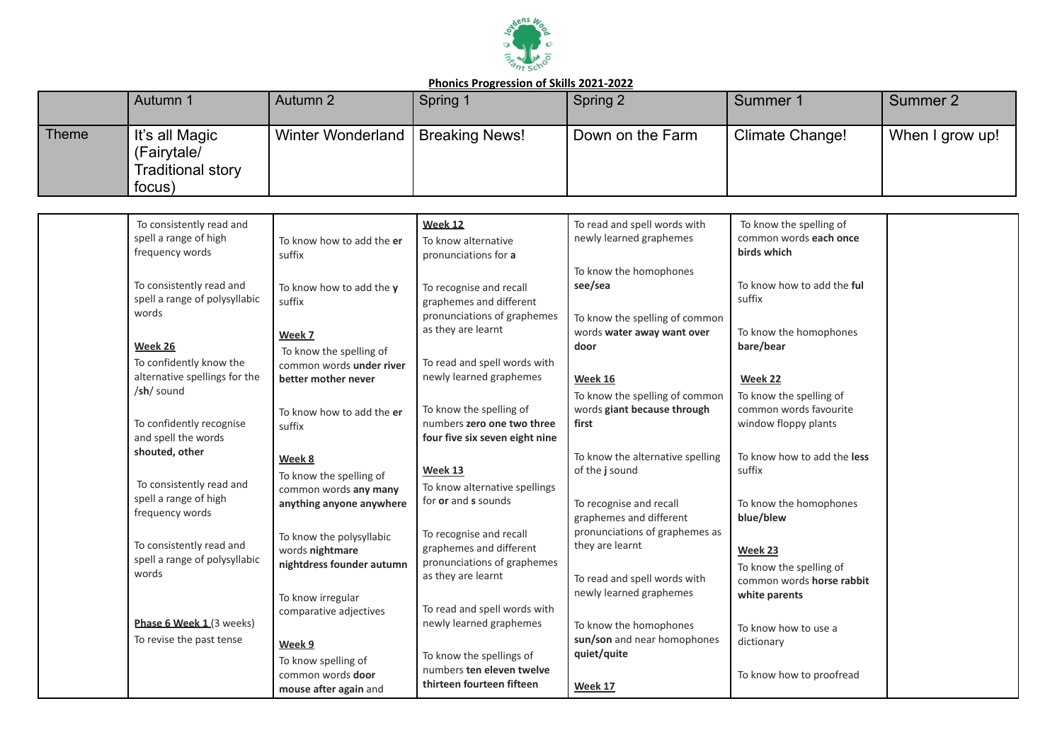

|       | Autumn 1                                                            | Autumn 2                 | Spring 1              | Spring 2         | Summer 1        | Summer 2        |
|-------|---------------------------------------------------------------------|--------------------------|-----------------------|------------------|-----------------|-----------------|
| Theme | It's all Magic<br>(Fairytale/<br><b>Traditional story</b><br>focus) | <b>Winter Wonderland</b> | <b>Breaking News!</b> | Down on the Farm | Climate Change! | When I grow up! |

| To consistently read and<br>spell a range of high              | To know how to add the er                                         | Week 12<br>To know alternative                          | To read and spell words with<br>newly learned graphemes | To know the spelling of<br>common words each once |  |
|----------------------------------------------------------------|-------------------------------------------------------------------|---------------------------------------------------------|---------------------------------------------------------|---------------------------------------------------|--|
| frequency words                                                | suffix                                                            | pronunciations for a                                    |                                                         | birds which                                       |  |
| To consistently read and                                       | To know how to add the y                                          | To recognise and recall                                 | To know the homophones<br>see/sea                       | To know how to add the ful                        |  |
| spell a range of polysyllabic<br>words                         | suffix                                                            | graphemes and different<br>pronunciations of graphemes  | To know the spelling of common                          | suffix                                            |  |
| Week 26                                                        | Week 7                                                            | as they are learnt                                      | words water away want over<br>door                      | To know the homophones<br>bare/bear               |  |
| To confidently know the                                        | To know the spelling of<br>common words under river               | To read and spell words with                            |                                                         |                                                   |  |
| alternative spellings for the<br>$/\mathsf{sh}/\mathsf{sound}$ | better mother never                                               | newly learned graphemes                                 | <b>Week 16</b><br>To know the spelling of common        | Week 22<br>To know the spelling of                |  |
| To confidently recognise                                       | To know how to add the er<br>suffix                               | To know the spelling of<br>numbers zero one two three   | words giant because through<br>first                    | common words favourite<br>window floppy plants    |  |
| and spell the words<br>shouted, other                          |                                                                   | four five six seven eight nine                          | To know the alternative spelling                        | To know how to add the less                       |  |
| To consistently read and                                       | Week 8<br>To know the spelling of                                 | Week 13                                                 | of the j sound                                          | suffix                                            |  |
| spell a range of high<br>frequency words                       | common words any many<br>anything anyone anywhere                 | To know alternative spellings<br>for or and s sounds    | To recognise and recall<br>graphemes and different      | To know the homophones<br>blue/blew               |  |
| To consistently read and                                       | To know the polysyllabic                                          | To recognise and recall                                 | pronunciations of graphemes as<br>they are learnt       |                                                   |  |
| spell a range of polysyllabic<br>words                         | words nightmare<br>nightdress founder autumn                      | graphemes and different<br>pronunciations of graphemes  |                                                         | Week 23<br>To know the spelling of                |  |
|                                                                | To know irregular                                                 | as they are learnt                                      | To read and spell words with<br>newly learned graphemes | common words horse rabbit<br>white parents        |  |
| Phase 6 Week 1 (3 weeks)                                       | comparative adjectives                                            | To read and spell words with<br>newly learned graphemes | To know the homophones                                  | To know how to use a                              |  |
| To revise the past tense                                       | Week 9                                                            | To know the spellings of                                | sun/son and near homophones<br>quiet/quite              | dictionary                                        |  |
|                                                                | To know spelling of<br>common words door<br>mouse after again and | numbers ten eleven twelve<br>thirteen fourteen fifteen  | Week 17                                                 | To know how to proofread                          |  |
|                                                                |                                                                   |                                                         |                                                         |                                                   |  |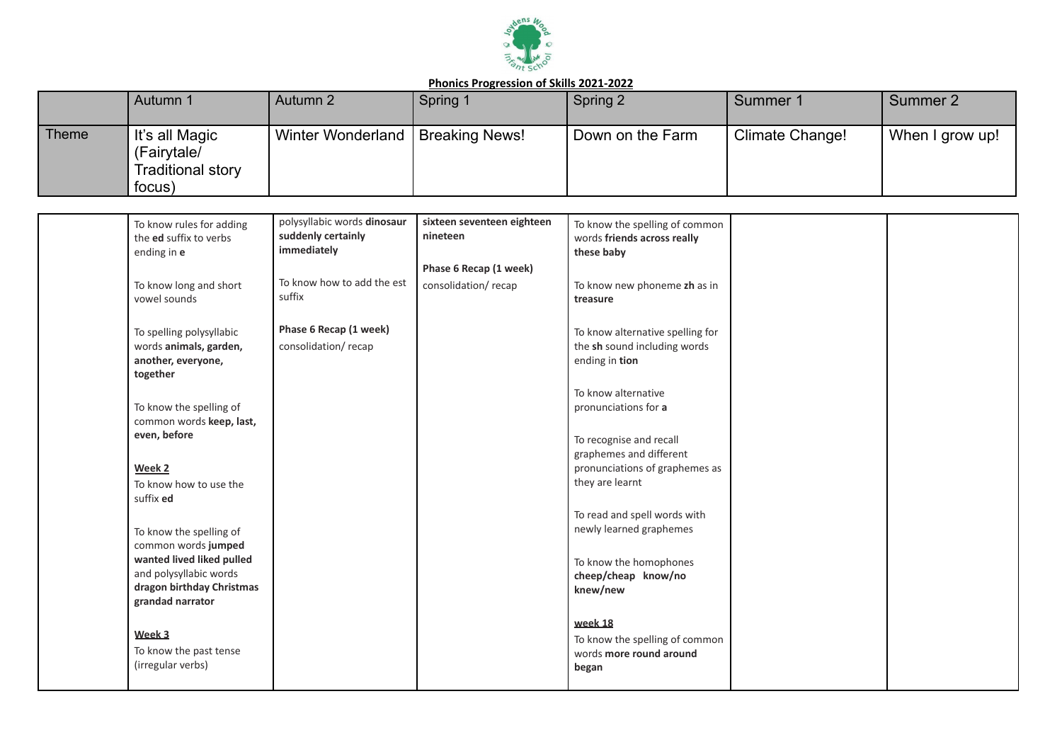

|              | Autumn 1                                                     | Autumn 2          | Spring 1       | Spring 2         | Summer 1        | Summer 2        |
|--------------|--------------------------------------------------------------|-------------------|----------------|------------------|-----------------|-----------------|
| <b>Theme</b> | It's all Magic<br>(Fairytale/<br>Traditional story<br>focus) | Winter Wonderland | Breaking News! | Down on the Farm | Climate Change! | When I grow up! |

| To know rules for adding<br>the ed suffix to verbs<br>ending in e                                                                  | polysyllabic words dinosaur<br>suddenly certainly<br>immediately | sixteen seventeen eighteen<br>nineteen        | To know the spelling of common<br>words friends across really<br>these baby          |  |
|------------------------------------------------------------------------------------------------------------------------------------|------------------------------------------------------------------|-----------------------------------------------|--------------------------------------------------------------------------------------|--|
| To know long and short<br>vowel sounds                                                                                             | To know how to add the est<br>suffix                             | Phase 6 Recap (1 week)<br>consolidation/recap | To know new phoneme zh as in<br>treasure                                             |  |
| To spelling polysyllabic<br>words animals, garden,<br>another, everyone,<br>together                                               | Phase 6 Recap (1 week)<br>consolidation/recap                    |                                               | To know alternative spelling for<br>the sh sound including words<br>ending in tion   |  |
| To know the spelling of<br>common words keep, last,                                                                                |                                                                  |                                               | To know alternative<br>pronunciations for a                                          |  |
| even, before<br>Week 2                                                                                                             |                                                                  |                                               | To recognise and recall<br>graphemes and different<br>pronunciations of graphemes as |  |
| To know how to use the<br>suffix ed                                                                                                |                                                                  |                                               | they are learnt<br>To read and spell words with                                      |  |
| To know the spelling of<br>common words jumped<br>wanted lived liked pulled<br>and polysyllabic words<br>dragon birthday Christmas |                                                                  |                                               | newly learned graphemes<br>To know the homophones<br>cheep/cheap know/no<br>knew/new |  |
| grandad narrator<br>Week 3<br>To know the past tense                                                                               |                                                                  |                                               | week 18<br>To know the spelling of common<br>words more round around                 |  |
| (irregular verbs)                                                                                                                  |                                                                  |                                               | began                                                                                |  |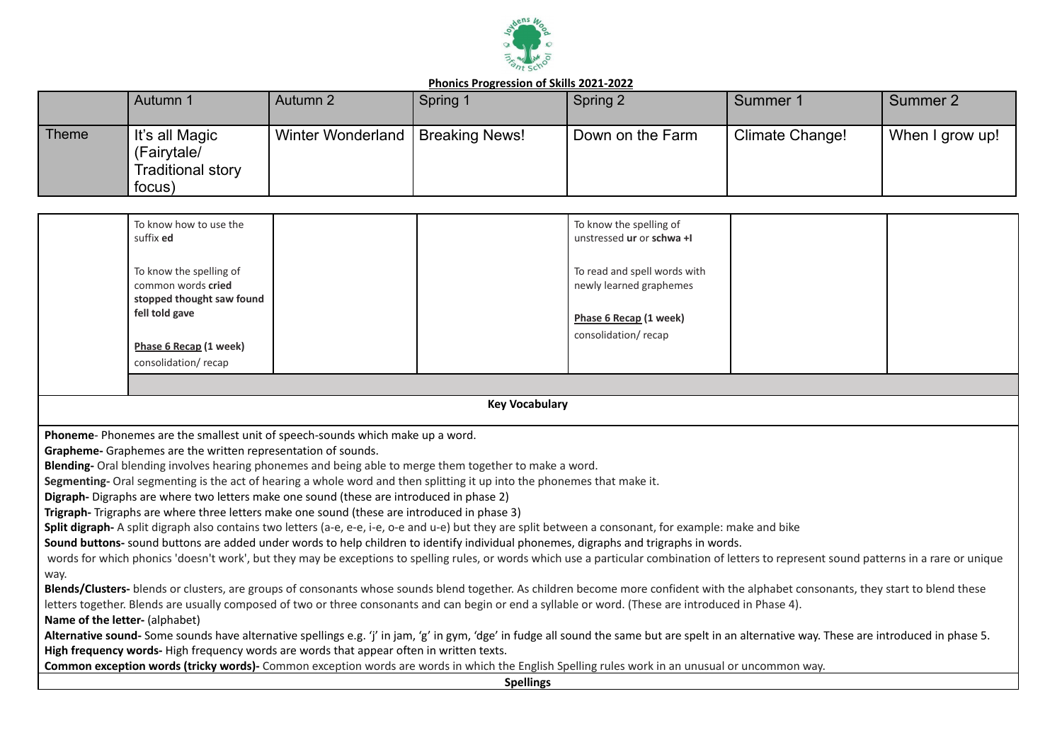

|              | Autumn 1                                                            | Autumn 2          | Spring 1              | Spring 2         | Summer 1        | Summer 2        |
|--------------|---------------------------------------------------------------------|-------------------|-----------------------|------------------|-----------------|-----------------|
| <b>Theme</b> | It's all Magic<br>(Fairytale/<br><b>Traditional story</b><br>focus) | Winter Wonderland | <b>Breaking News!</b> | Down on the Farm | Climate Change! | When I grow up! |

| To know how to use the<br>suffix <b>ed</b>                                                                                                           |  | To know the spelling of<br>unstressed ur or schwa +I                                                     |  |
|------------------------------------------------------------------------------------------------------------------------------------------------------|--|----------------------------------------------------------------------------------------------------------|--|
| To know the spelling of<br>common words cried<br>stopped thought saw found<br>fell told gave<br><u>Phase 6 Recap</u> (1 week)<br>consolidation/recap |  | To read and spell words with<br>newly learned graphemes<br>Phase 6 Recap (1 week)<br>consolidation/recap |  |

**Key Vocabulary**

**Phoneme**- Phonemes are the smallest unit of speech-sounds which make up a word.

**Grapheme-** Graphemes are the written representation of sounds.

**Blending-** Oral blending involves hearing phonemes and being able to merge them together to make a word.

**Segmenting-** Oral segmenting is the act of hearing a whole word and then splitting it up into the phonemes that make it.

**Digraph-** Digraphs are where two letters make one sound (these are introduced in phase 2)

**Trigraph-** Trigraphs are where three letters make one sound (these are introduced in phase 3)

**Split digraph-** A split digraph also contains two letters (a-e, e-e, i-e, o-e and u-e) but they are split between a consonant, for example: make and bike

**Sound buttons-** sound buttons are added under words to help children to identify individual phonemes, digraphs and trigraphs in words.

words for which phonics 'doesn't work', but they may be exceptions to spelling rules, or words which use a particular combination of letters to represent sound patterns in a rare or unique way.

**Blends/Clusters-** blends or clusters, are groups of consonants whose sounds blend together. As children become more confident with the alphabet consonants, they start to blend these letters together. Blends are usually composed of two or three consonants and can begin or end a syllable or word. (These are introduced in Phase 4).

**Name of the letter-** (alphabet)

Alternative sound- Some sounds have alternative spellings e.g. 'j' in jam, 'g' in gym, 'dge' in fudge all sound the same but are spelt in an alternative way. These are introduced in phase 5. **High frequency words-** High frequency words are words that appear often in written texts.

**Common exception words (tricky words)-** Common exception words are words in which the English Spelling rules work in an unusual or uncommon way.

**Spellings**